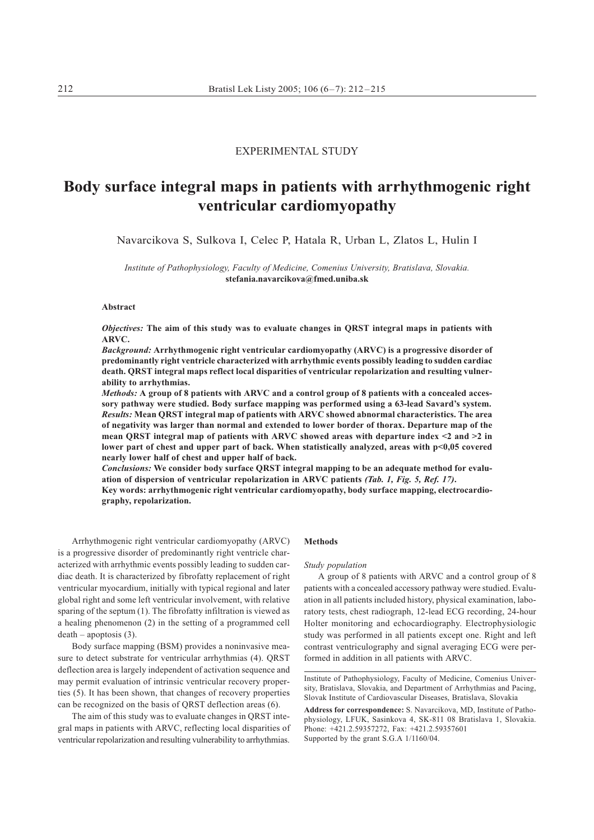# **EXPERIMENTAL STUDY**

# Body surface integral maps in patients with arrhythmogenic right ventricular cardiomyopathy

Navarcikova S, Sulkova I, Celec P, Hatala R, Urban L, Zlatos L, Hulin I

Institute of Pathophysiology, Faculty of Medicine, Comenius University, Bratislava, Slovakia. stefania.navarcikova@fmed.uniba.sk

## Abstract

Objectives: The aim of this study was to evaluate changes in QRST integral maps in patients with  $APVC$ 

Background: Arrhythmogenic right ventricular cardiomyopathy (ARVC) is a progressive disorder of predominantly right ventricle characterized with arrhythmic events possibly leading to sudden cardiac death. QRST integral maps reflect local disparities of ventricular repolarization and resulting vulnerability to arrhythmias.

Methods: A group of 8 patients with ARVC and a control group of 8 patients with a concealed accessory pathway were studied. Body surface mapping was performed using a 63-lead Savard's system. Results: Mean QRST integral map of patients with ARVC showed abnormal characteristics. The area of negativity was larger than normal and extended to lower border of thorax. Departure map of the mean QRST integral map of patients with ARVC showed areas with departure index  $\leq 2$  and  $\geq 2$  in lower part of chest and upper part of back. When statistically analyzed, areas with p<0,05 covered nearly lower half of chest and upper half of back.

Conclusions: We consider body surface QRST integral mapping to be an adequate method for evaluation of dispersion of ventricular repolarization in ARVC patients (Tab. 1, Fig. 5, Ref. 17).

Key words: arrhythmogenic right ventricular cardiomyopathy, body surface mapping, electrocardiography, repolarization.

Arrhythmogenic right ventricular cardiomyopathy (ARVC) is a progressive disorder of predominantly right ventricle characterized with arrhythmic events possibly leading to sudden cardiac death. It is characterized by fibrofatty replacement of right ventricular myocardium, initially with typical regional and later global right and some left ventricular involvement, with relative sparing of the septum  $(1)$ . The fibrofatty infiltration is viewed as a healing phenomenon (2) in the setting of a programmed cell  $death - apoptosis (3)$ .

Body surface mapping (BSM) provides a noninvasive measure to detect substrate for ventricular arrhythmias (4). QRST deflection area is largely independent of activation sequence and may permit evaluation of intrinsic ventricular recovery properties (5). It has been shown, that changes of recovery properties can be recognized on the basis of QRST deflection areas (6).

The aim of this study was to evaluate changes in ORST integral maps in patients with ARVC, reflecting local disparities of ventricular repolarization and resulting vulnerability to arrhythmias.

# Methods

## Study population

A group of 8 patients with ARVC and a control group of 8 patients with a concealed accessory pathway were studied. Evaluation in all patients included history, physical examination, laboratory tests, chest radiograph, 12-lead ECG recording, 24-hour Holter monitoring and echocardiography. Electrophysiologic study was performed in all patients except one. Right and left contrast ventriculography and signal averaging ECG were performed in addition in all patients with ARVC.

Institute of Pathophysiology, Faculty of Medicine, Comenius University, Bratislava, Slovakia, and Department of Arrhythmias and Pacing, Slovak Institute of Cardiovascular Diseases, Bratislava, Slovakia

Address for correspondence: S. Navarcikova, MD, Institute of Pathophysiology, LFUK, Sasinkova 4, SK-811 08 Bratislava 1, Slovakia. Phone: +421 2 59357272. Fax: +421 2 59357601 Supported by the grant S.G.A 1/1160/04.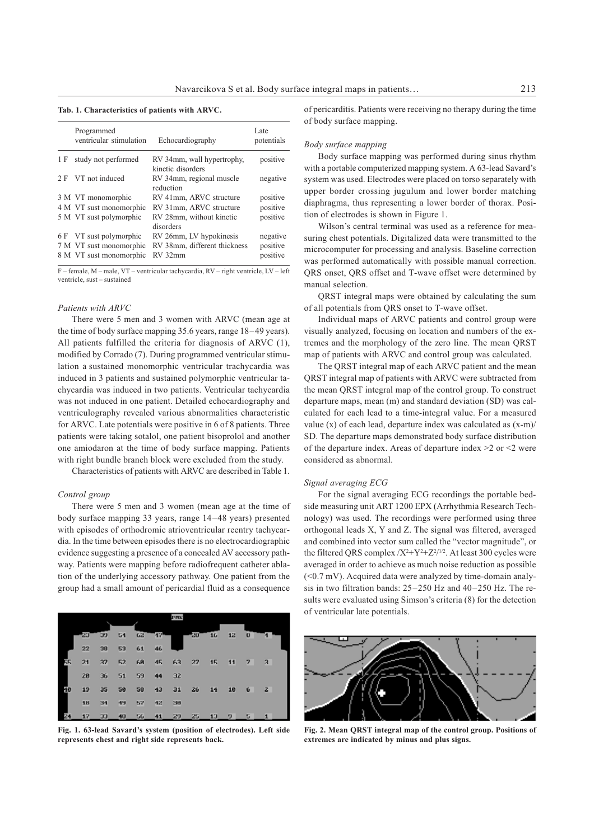| Tab. 1. Characteristics of patients with ARVC. |  |  |  |  |  |  |  |
|------------------------------------------------|--|--|--|--|--|--|--|
|------------------------------------------------|--|--|--|--|--|--|--|

|     | Programmed<br>ventricular stimulation | Echocardiography                                | Late<br>potentials |
|-----|---------------------------------------|-------------------------------------------------|--------------------|
| 1 F | study not performed                   | RV 34mm, wall hypertrophy,<br>kinetic disorders | positive           |
| 2F  | VT not induced                        | RV 34mm, regional muscle<br>reduction           | negative           |
|     | 3 M VT monomorphic                    | RV 41mm, ARVC structure                         | positive           |
|     | 4 M VT sust monomorphic               | RV 31mm, ARVC structure                         | positive           |
|     | 5 M VT sust polymorphic               | RV 28mm, without kinetic<br>disorders           | positive           |
|     | 6 F VT sust polymorphic               | RV 26mm, LV hypokinesis                         | negative           |
|     | 7 M VT sust monomorphic               | RV 38mm, different thickness                    | positive           |
|     | 8 M VT sust monomorphic               | RV 32mm                                         | positive           |

F - female, M - male, VT - ventricular tachycardia, RV - right ventricle, LV - left ventricle, sust-sustained

#### Patients with ARVC

There were 5 men and 3 women with ARVC (mean age at the time of body surface mapping 35.6 years, range 18-49 years). All patients fulfilled the criteria for diagnosis of ARVC (1), modified by Corrado (7). During programmed ventricular stimulation a sustained monomorphic ventricular trachycardia was induced in 3 patients and sustained polymorphic ventricular tachycardia was induced in two patients. Ventricular tachycardia was not induced in one patient. Detailed echocardiography and ventriculography revealed various abnormalities characteristic for ARVC. Late potentials were positive in 6 of 8 patients. Three patients were taking sotalol, one patient bisoprolol and another one amiodaron at the time of body surface mapping. Patients with right bundle branch block were excluded from the study.

Characteristics of patients with ARVC are described in Table 1.

### Control group

There were 5 men and 3 women (mean age at the time of body surface mapping 33 years, range 14–48 years) presented with episodes of orthodromic atrioventricular reentry tachycardia. In the time between episodes there is no electrocardiographic evidence suggesting a presence of a concealed AV accessory pathway. Patients were mapping before radiofrequent catheter ablation of the underlying accessory pathway. One patient from the group had a small amount of pericardial fluid as a consequence



Fig. 1. 63-lead Savard's system (position of electrodes). Left side represents chest and right side represents back.

of pericarditis. Patients were receiving no therapy during the time of body surface mapping.

#### Body surface mapping

Body surface mapping was performed during sinus rhythm with a portable computerized mapping system. A 63-lead Savard's system was used. Electrodes were placed on torso separately with upper border crossing jugulum and lower border matching diaphragma, thus representing a lower border of thorax. Position of electrodes is shown in Figure 1.

Wilson's central terminal was used as a reference for measuring chest potentials. Digitalized data were transmitted to the microcomputer for processing and analysis. Baseline correction was performed automatically with possible manual correction. QRS onset, QRS offset and T-wave offset were determined by manual selection.

QRST integral maps were obtained by calculating the sum of all potentials from QRS onset to T-wave offset.

Individual maps of ARVC patients and control group were visually analyzed, focusing on location and numbers of the extremes and the morphology of the zero line. The mean QRST map of patients with ARVC and control group was calculated.

The QRST integral map of each ARVC patient and the mean ORST integral map of patients with ARVC were subtracted from the mean QRST integral map of the control group. To construct departure maps, mean (m) and standard deviation (SD) was calculated for each lead to a time-integral value. For a measured value (x) of each lead, departure index was calculated as (x-m)/ SD. The departure maps demonstrated body surface distribution of the departure index. Areas of departure index  $>2$  or  $\leq$  were considered as abnormal.

## Signal averaging ECG

For the signal averaging ECG recordings the portable bedside measuring unit ART 1200 EPX (Arrhythmia Research Technology) was used. The recordings were performed using three orthogonal leads X, Y and Z. The signal was filtered, averaged and combined into vector sum called the "vector magnitude", or the filtered QRS complex  $/X^2+Y^2+Z^2/1/2$ . At least 300 cycles were averaged in order to achieve as much noise reduction as possible  $(<0.7 \text{ mV})$ . Acquired data were analyzed by time-domain analysis in two filtration bands:  $25-250$  Hz and  $40-250$  Hz. The results were evaluated using Simson's criteria (8) for the detection of ventricular late potentials.



Fig. 2. Mean QRST integral map of the control group. Positions of extremes are indicated by minus and plus signs.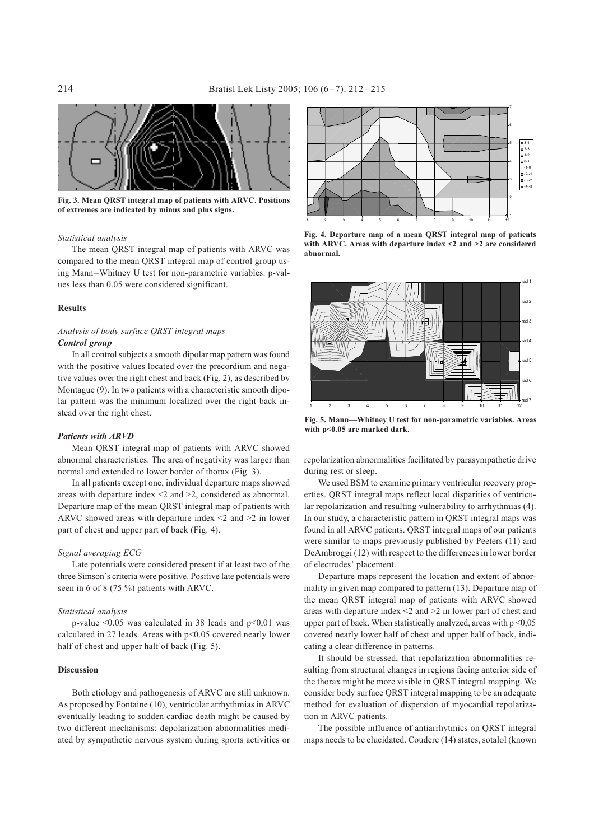

Fig. 3. Mean QRST integral map of patients with ARVC. Positions of extremes are indicated by minus and plus signs.

# Statistical analysis

The mean QRST integral map of patients with ARVC was compared to the mean QRST integral map of control group using Mann-Whitney U test for non-parametric variables. p-values less than 0.05 were considered significant.

## **Results**

# Analysis of body surface QRST integral maps Control group

In all control subjects a smooth dipolar map pattern was found with the positive values located over the precordium and negative values over the right chest and back (Fig. 2), as described by Montague (9). In two patients with a characteristic smooth dipolar pattern was the minimum localized over the right back instead over the right chest.

## **Patients with ARVD**

Mean ORST integral map of patients with ARVC showed abnormal characteristics. The area of negativity was larger than normal and extended to lower border of thorax (Fig. 3).

In all patients except one, individual departure maps showed areas with departure index  $\leq$  2 and  $\geq$  2, considered as abnormal. Departure map of the mean QRST integral map of patients with ARVC showed areas with departure index  $\leq 2$  and  $\geq 2$  in lower part of chest and upper part of back (Fig. 4).

# Signal averaging ECG

Late potentials were considered present if at least two of the three Simson's criteria were positive. Positive late potentials were seen in 6 of 8 (75 %) patients with ARVC.

# Statistical analysis

p-value  $\leq 0.05$  was calculated in 38 leads and p $\leq 0.01$  was calculated in 27 leads. Areas with p<0.05 covered nearly lower half of chest and upper half of back (Fig. 5).

# Discussion

Both etiology and pathogenesis of ARVC are still unknown. As proposed by Fontaine (10), ventricular arrhythmias in ARVC eventually leading to sudden cardiac death might be caused by two different mechanisms: depolarization abnormalities mediated by sympathetic nervous system during sports activities or



Fig. 4. Departure map of a mean QRST integral map of patients with ARVC. Areas with departure index  $\leq$  2 and  $\geq$  2 are considered abnormal.



Fig. 5. Mann-Whitney U test for non-parametric variables. Areas with p<0.05 are marked dark.

repolarization abnormalities facilitated by parasympathetic drive during rest or sleep.

We used BSM to examine primary ventricular recovery properties. QRST integral maps reflect local disparities of ventricular repolarization and resulting vulnerability to arrhythmias (4). In our study, a characteristic pattern in QRST integral maps was found in all ARVC patients. QRST integral maps of our patients were similar to maps previously published by Peeters (11) and DeAmbroggi (12) with respect to the differences in lower border of electrodes' placement.

Departure maps represent the location and extent of abnormality in given map compared to pattern (13). Departure map of the mean QRST integral map of patients with ARVC showed areas with departure index  $\leq$  2 and  $\geq$  2 in lower part of chest and upper part of back. When statistically analyzed, areas with  $p < 0.05$ covered nearly lower half of chest and upper half of back, indicating a clear difference in patterns.

It should be stressed, that repolarization abnormalities resulting from structural changes in regions facing anterior side of the thorax might be more visible in QRST integral mapping. We consider body surface QRST integral mapping to be an adequate method for evaluation of dispersion of myocardial repolarization in ARVC patients.

The possible influence of antiarrhytmics on ORST integral maps needs to be elucidated. Couderc (14) states, sotal ol (known